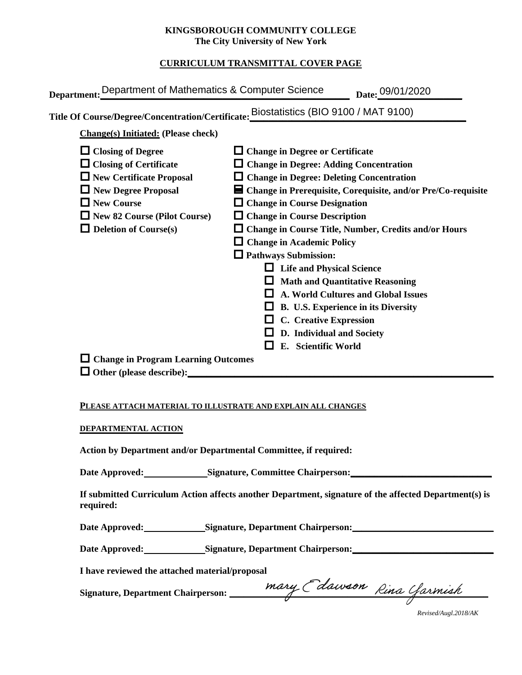### **KINGSBOROUGH COMMUNITY COLLEGE The City University of New York**

## **CURRICULUM TRANSMITTAL COVER PAGE**

| <b>Change(s)</b> Initiated: (Please check)                                                                                                                                                                                | Title Of Course/Degree/Concentration/Certificate: Eliostatistics (BIO 9100 / MAT 9100)                                                                                                                                                                                                                                                                                                                                                                                                                                                                                                                                                                        |
|---------------------------------------------------------------------------------------------------------------------------------------------------------------------------------------------------------------------------|---------------------------------------------------------------------------------------------------------------------------------------------------------------------------------------------------------------------------------------------------------------------------------------------------------------------------------------------------------------------------------------------------------------------------------------------------------------------------------------------------------------------------------------------------------------------------------------------------------------------------------------------------------------|
| $\Box$ Closing of Degree<br>$\Box$ Closing of Certificate<br>$\Box$ New Certificate Proposal<br>$\Box$ New Degree Proposal<br>$\square$ New Course<br>$\Box$ New 82 Course (Pilot Course)<br>$\Box$ Deletion of Course(s) | $\Box$ Change in Degree or Certificate<br>$\Box$ Change in Degree: Adding Concentration<br>$\Box$ Change in Degree: Deleting Concentration<br>■ Change in Prerequisite, Corequisite, and/or Pre/Co-requisite<br>$\Box$ Change in Course Designation<br>$\Box$ Change in Course Description<br>$\Box$ Change in Course Title, Number, Credits and/or Hours<br>$\Box$ Change in Academic Policy<br>$\Box$ Pathways Submission:<br><b>Life and Physical Science</b><br><b>Math and Quantitative Reasoning</b><br><b>A. World Cultures and Global Issues</b><br>B. U.S. Experience in its Diversity<br><b>C.</b> Creative Expression<br>D. Individual and Society |
|                                                                                                                                                                                                                           | E. Scientific World                                                                                                                                                                                                                                                                                                                                                                                                                                                                                                                                                                                                                                           |

#### **PLEASE ATTACH MATERIAL TO ILLUSTRATE AND EXPLAIN ALL CHANGES**

#### **DEPARTMENTAL ACTION**

**Action by Department and/or Departmental Committee, if required:**

Date Approved:\_\_\_\_\_\_\_\_\_\_\_\_\_\_Signature, Committee Chairperson:\_\_\_\_\_\_\_\_\_\_\_\_\_\_\_\_\_\_\_\_

**If submitted Curriculum Action affects another Department, signature of the affected Department(s) is required:**

Date Approved: Signature, Department Chairperson:

Date Approved: Signature, Department Chairperson: Network and Approved: Network and Separature, Department Chairperson:

**I have reviewed the attached material/proposal**

**Signature, Department Chairperson: \_\_\_\_\_\_\_\_\_\_\_\_\_\_\_\_\_\_\_\_\_\_\_\_\_\_\_\_\_\_\_\_\_\_\_\_\_\_\_\_\_\_\_\_\_\_\_\_\_\_\_\_\_\_\_**

*Revised/Augl.2018/AK*